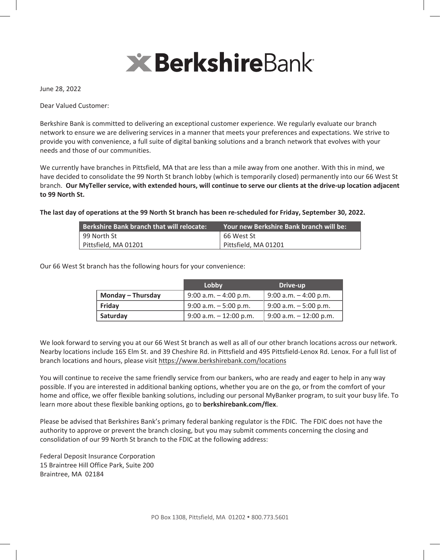## **X Berkshire**Bank

June 28, 2022

Dear Valued Customer:

Berkshire Bank is committed to delivering an exceptional customer experience. We regularly evaluate our branch network to ensure we are delivering services in a manner that meets your preferences and expectations. We strive to provide you with convenience, a full suite of digital banking solutions and a branch network that evolves with your needs and those of our communities.

We currently have branches in Pittsfield, MA that are less than a mile away from one another. With this in mind, we have decided to consolidate the 99 North St branch lobby (which is temporarily closed) permanently into our 66 West St branch. **Our MyTeller service, with extended hours, will continue to serve our clients at the drive-up location adjacent to 99 North St.**

**The last day of operations at the 99 North St branch has been re-scheduled for Friday, September 30, 2022.** 

| <b>Berkshire Bank branch that will relocate:</b> | Your new Berkshire Bank branch will be: |
|--------------------------------------------------|-----------------------------------------|
| 99 North St                                      | 66 West St                              |
| Pittsfield, MA 01201                             | Pittsfield, MA 01201                    |

Our 66 West St branch has the following hours for your convenience:

|                   | Lobby                     | Drive-up                  |
|-------------------|---------------------------|---------------------------|
| Monday - Thursday | $9:00$ a.m. $-4:00$ p.m.  | $9:00$ a.m. $-4:00$ p.m.  |
| Fridav            | $9:00$ a.m. $-5:00$ p.m.  | $9:00$ a.m. $-5:00$ p.m.  |
| Saturday          | $9:00$ a.m. $-12:00$ p.m. | $9:00$ a.m. $-12:00$ p.m. |

We look forward to serving you at our 66 West St branch as well as all of our other branch locations across our network. Nearby locations include 165 Elm St. and 39 Cheshire Rd. in Pittsfield and 495 Pittsfield-Lenox Rd. Lenox. For a full list of branch locations and hours, please visit https://www.berkshirebank.com/locations

You will continue to receive the same friendly service from our bankers, who are ready and eager to help in any way possible. If you are interested in additional banking options, whether you are on the go, or from the comfort of your home and office, we offer flexible banking solutions, including our personal MyBanker program, to suit your busy life. To learn more about these flexible banking options, go to **berkshirebank.com/flex**.

Please be advised that Berkshires Bank's primary federal banking regulator is the FDIC. The FDIC does not have the authority to approve or prevent the branch closing, but you may submit comments concerning the closing and consolidation of our 99 North St branch to the FDIC at the following address:

Federal Deposit Insurance Corporation 15 Braintree Hill Office Park, Suite 200 Braintree, MA 02184